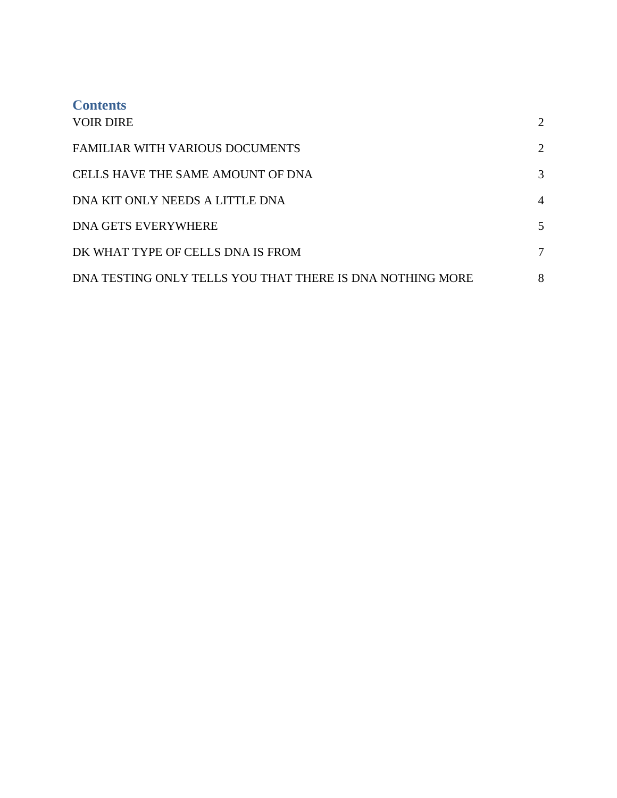| <b>Contents</b><br><b>VOIR DIRE</b>                       | $\overline{2}$ |
|-----------------------------------------------------------|----------------|
| <b>FAMILIAR WITH VARIOUS DOCUMENTS</b>                    | $\overline{2}$ |
| <b>CELLS HAVE THE SAME AMOUNT OF DNA</b>                  | 3              |
| DNA KIT ONLY NEEDS A LITTLE DNA                           | $\overline{4}$ |
| <b>DNA GETS EVERYWHERE</b>                                | 5              |
| DK WHAT TYPE OF CELLS DNA IS FROM                         | 7              |
| DNA TESTING ONLY TELLS YOU THAT THERE IS DNA NOTHING MORE | 8              |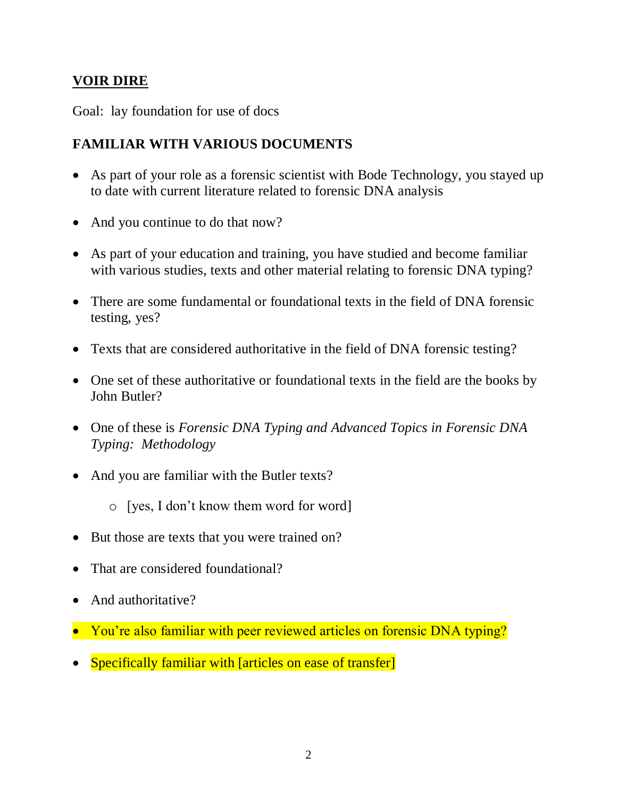## <span id="page-1-0"></span>**VOIR DIRE**

Goal: lay foundation for use of docs

## <span id="page-1-1"></span>**FAMILIAR WITH VARIOUS DOCUMENTS**

- As part of your role as a forensic scientist with Bode Technology, you stayed up to date with current literature related to forensic DNA analysis
- And you continue to do that now?
- As part of your education and training, you have studied and become familiar with various studies, texts and other material relating to forensic DNA typing?
- There are some fundamental or foundational texts in the field of DNA forensic testing, yes?
- Texts that are considered authoritative in the field of DNA forensic testing?
- One set of these authoritative or foundational texts in the field are the books by John Butler?
- One of these is *Forensic DNA Typing and Advanced Topics in Forensic DNA Typing: Methodology*
- And you are familiar with the Butler texts?
	- o [yes, I don't know them word for word]
- But those are texts that you were trained on?
- That are considered foundational?
- And authoritative?
- You're also familiar with peer reviewed articles on forensic DNA typing?
- Specifically familiar with [articles on ease of transfer]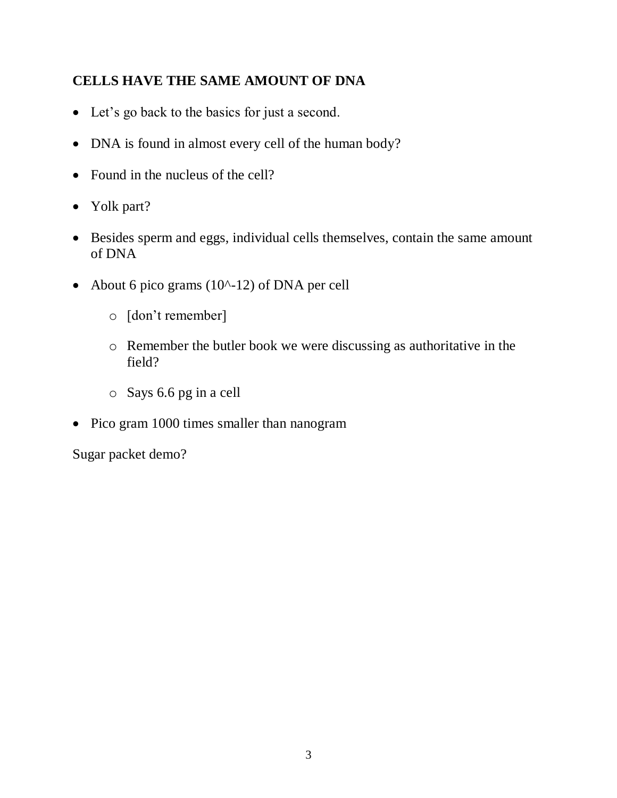# <span id="page-2-0"></span>**CELLS HAVE THE SAME AMOUNT OF DNA**

- Let's go back to the basics for just a second.
- DNA is found in almost every cell of the human body?
- Found in the nucleus of the cell?
- Yolk part?
- Besides sperm and eggs, individual cells themselves, contain the same amount of DNA
- About 6 pico grams  $(10^{\lambda} 12)$  of DNA per cell
	- o [don't remember]
	- o Remember the butler book we were discussing as authoritative in the field?
	- o Says 6.6 pg in a cell
- Pico gram 1000 times smaller than nanogram

Sugar packet demo?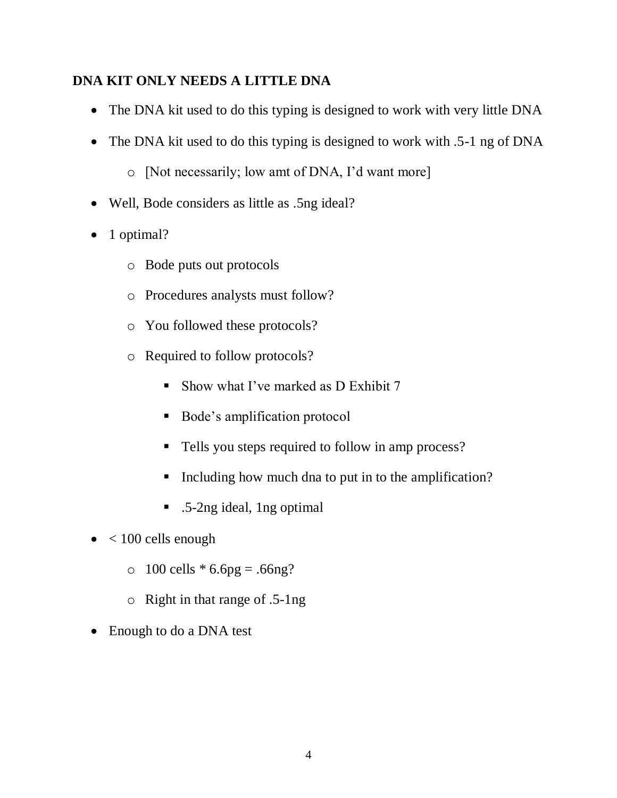#### <span id="page-3-0"></span>**DNA KIT ONLY NEEDS A LITTLE DNA**

- The DNA kit used to do this typing is designed to work with very little DNA
- The DNA kit used to do this typing is designed to work with .5-1 ng of DNA
	- o [Not necessarily; low amt of DNA, I'd want more]
- Well, Bode considers as little as .5ng ideal?
- $\bullet$  1 optimal?
	- o Bode puts out protocols
	- o Procedures analysts must follow?
	- o You followed these protocols?
	- o Required to follow protocols?
		- Show what I've marked as D Exhibit  $7$
		- Bode's amplification protocol
		- Tells you steps required to follow in amp process?
		- Including how much dna to put in to the amplification?
		- .5-2ng ideal, 1ng optimal
- $\bullet$  < 100 cells enough
	- $\circ$  100 cells  $* 6.6pg = .66ng?$
	- o Right in that range of .5-1ng
- Enough to do a DNA test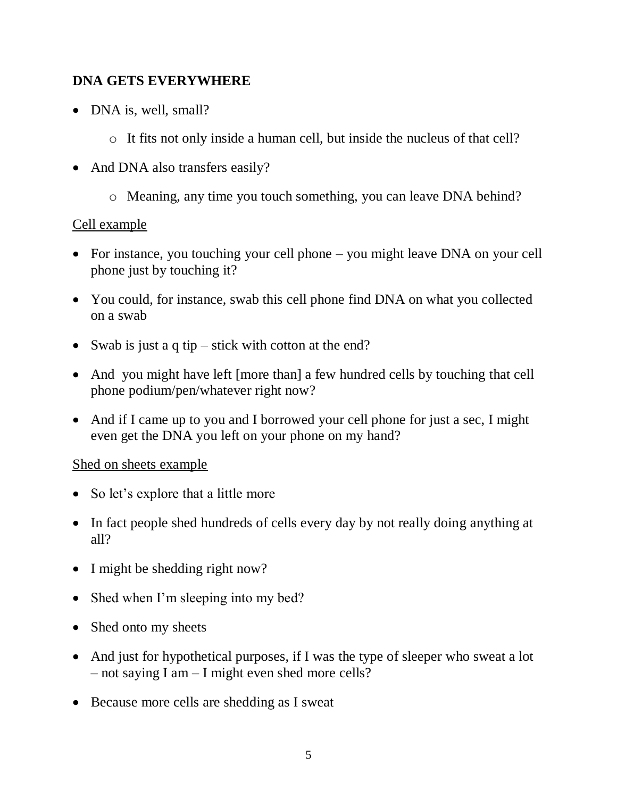#### <span id="page-4-0"></span>**DNA GETS EVERYWHERE**

- DNA is, well, small?
	- o It fits not only inside a human cell, but inside the nucleus of that cell?
- And DNA also transfers easily?
	- o Meaning, any time you touch something, you can leave DNA behind?

## Cell example

- For instance, you touching your cell phone you might leave DNA on your cell phone just by touching it?
- You could, for instance, swab this cell phone find DNA on what you collected on a swab
- Swab is just a q tip stick with cotton at the end?
- And you might have left [more than] a few hundred cells by touching that cell phone podium/pen/whatever right now?
- And if I came up to you and I borrowed your cell phone for just a sec, I might even get the DNA you left on your phone on my hand?

#### Shed on sheets example

- So let's explore that a little more
- In fact people shed hundreds of cells every day by not really doing anything at all?
- I might be shedding right now?
- Shed when I'm sleeping into my bed?
- Shed onto my sheets
- And just for hypothetical purposes, if I was the type of sleeper who sweat a lot – not saying I am – I might even shed more cells?
- Because more cells are shedding as I sweat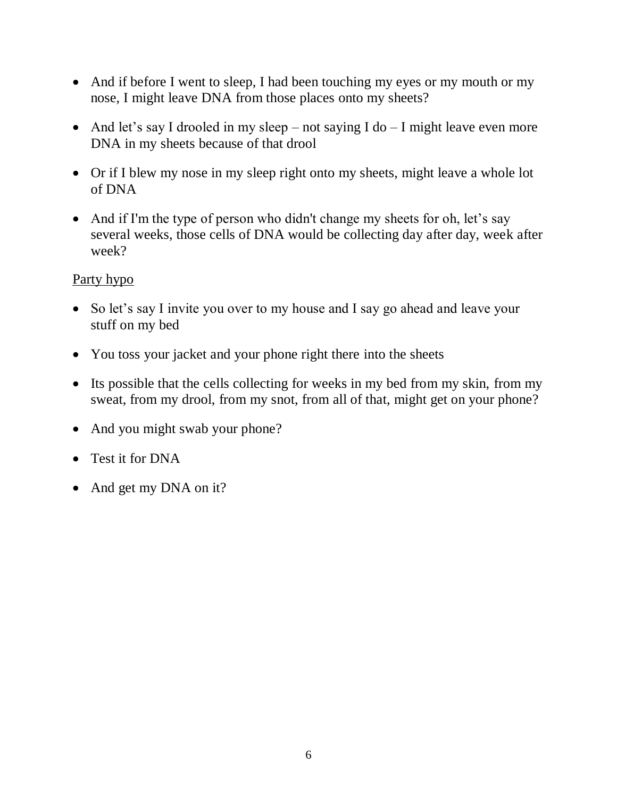- And if before I went to sleep, I had been touching my eyes or my mouth or my nose, I might leave DNA from those places onto my sheets?
- And let's say I drooled in my sleep not saying I do I might leave even more DNA in my sheets because of that drool
- Or if I blew my nose in my sleep right onto my sheets, might leave a whole lot of DNA
- And if I'm the type of person who didn't change my sheets for oh, let's say several weeks, those cells of DNA would be collecting day after day, week after week?

## Party hypo

- So let's say I invite you over to my house and I say go ahead and leave your stuff on my bed
- You toss your jacket and your phone right there into the sheets
- Its possible that the cells collecting for weeks in my bed from my skin, from my sweat, from my drool, from my snot, from all of that, might get on your phone?
- And you might swab your phone?
- Test it for DNA
- And get my DNA on it?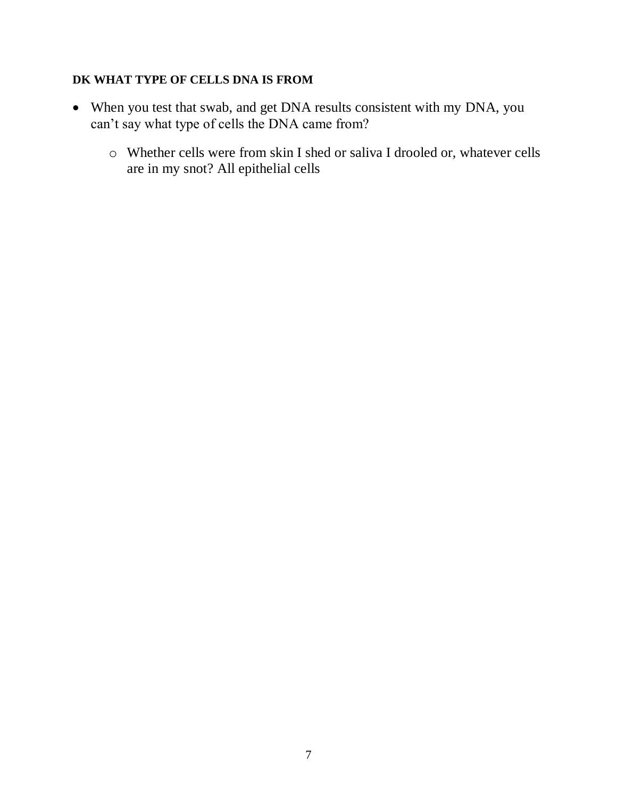#### <span id="page-6-0"></span>**DK WHAT TYPE OF CELLS DNA IS FROM**

- When you test that swab, and get DNA results consistent with my DNA, you can't say what type of cells the DNA came from?
	- o Whether cells were from skin I shed or saliva I drooled or, whatever cells are in my snot? All epithelial cells